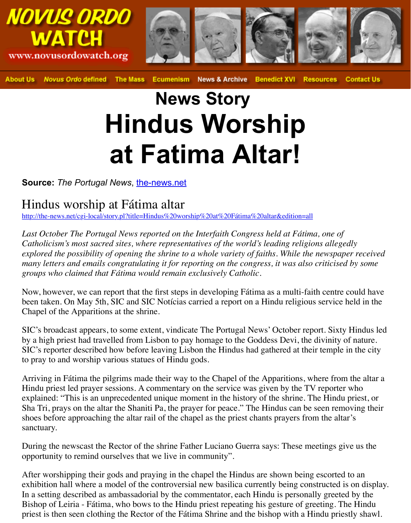# **News Story Hindus Worship at Fatima Altar!**

## **Source:** The Portugal News, the-news.net

## Hindus worship at Fátima altar

http://the-news.net/cgi-local/story.pl?title=Hindus%20worship%20at%20Fátima%20altar&edition=all

Last October The Portugal News reported on the Interfaith Congress held at Fátima, one *Catholicism's most sacred sites, where representatives of the world's leading religions all explored the possibility of opening the shrine to a whole variety of faiths. While the newspaper received many letters and emails congratulating it for reporting on the congress, it was also critici groups who claimed that Fátim[a would remain](http://the-news.net/) exclusively Catholic.*

Now, however, we can report that the first steps in developing Fátima as a multi-faith cen [been taken. On May 5th, SIC and SIC Notícias carried a report on a Hindu religious](http://the-news.net/cgi-local/story.pl?title=Hindus%20worship%20at%20F%E1tima%20altar&edition=all) servi Chapel of the Apparitions at the shrine.

SIC's broadcast appears, to some extent, vindicate The Portugal News' October report. Si by a high priest had travelled from Lisbon to pay homage to the Goddess Devi, the divinity SIC's reporter described how before leaving Lisbon the Hindus had gathered at their temp to pray to and worship various statues of Hindu gods.

Arriving in Fátima the pilgrims made their way to the Chapel of the Apparitions, where from the altar altar altar altar altar altar altar altar altar altar altar altar altar altar altar altar altar altar altar altar altar Hindu priest led prayer sessions. A commentary on the service was given by the TV report explained: "This is an unprecedented unique moment in the history of the shrine. The Hindu priest, or Sha Tri, prays on the altar the Shaniti Pa, the prayer for peace." The Hindus can be seen removing the set of the Shaniti Pa, the prayer for peace." The Hindus can be seen removing their shoes before approaching the altar rail of the chapel as the priest chants prayers from the sanctuary.

During the newscast the Rector of the shrine Father Luciano Guerra says: These meetings opportunity to remind ourselves that we live in community".

After worshipping their gods and praying in the chapel the Hindus are shown being escor exhibition hall where a model of the controversial new basilica currently being constructed is on the contracted in  $\alpha$ . In a setting described as ambassadorial by the commentator, each Hindu is personally greed Bishop of Leiria - Fátima, who bows to the Hindu priest repeating his gesture of greeting. priest is then seen clothing the Rector of the Fátima Shrine and the bishop with a Hindu p